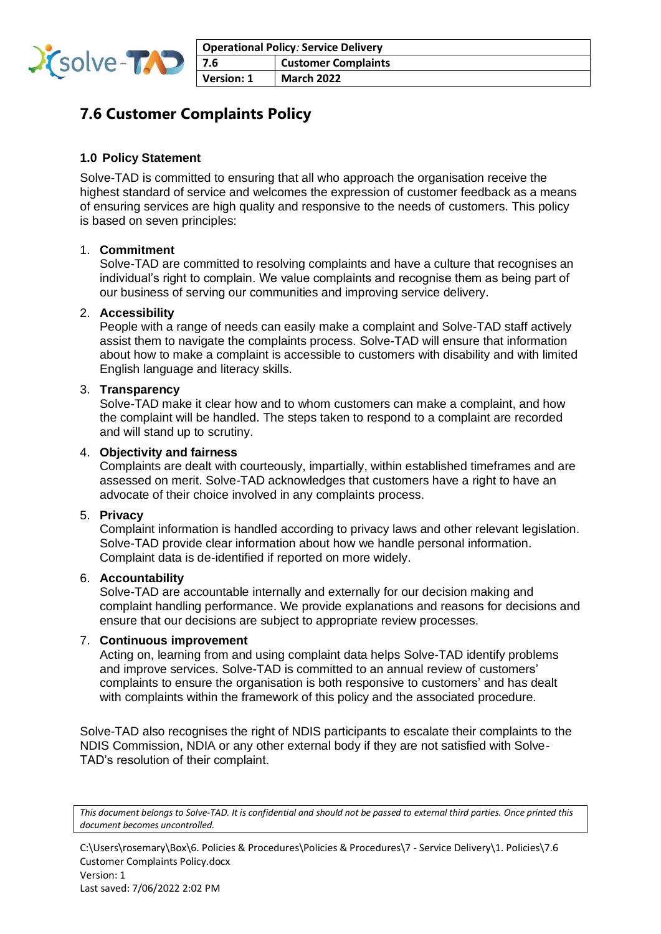

# **7.6 Customer Complaints Policy**

# **1.0 Policy Statement**

Solve-TAD is committed to ensuring that all who approach the organisation receive the highest standard of service and welcomes the expression of customer feedback as a means of ensuring services are high quality and responsive to the needs of customers. This policy is based on seven principles:

# 1. **Commitment**

Solve-TAD are committed to resolving complaints and have a culture that recognises an individual's right to complain. We value complaints and recognise them as being part of our business of serving our communities and improving service delivery.

# 2. **Accessibility**

People with a range of needs can easily make a complaint and Solve-TAD staff actively assist them to navigate the complaints process. Solve-TAD will ensure that information about how to make a complaint is accessible to customers with disability and with limited English language and literacy skills.

## 3. **Transparency**

Solve-TAD make it clear how and to whom customers can make a complaint, and how the complaint will be handled. The steps taken to respond to a complaint are recorded and will stand up to scrutiny.

## 4. **Objectivity and fairness**

Complaints are dealt with courteously, impartially, within established timeframes and are assessed on merit. Solve-TAD acknowledges that customers have a right to have an advocate of their choice involved in any complaints process.

#### 5. **Privacy**

Complaint information is handled according to privacy laws and other relevant legislation. Solve-TAD provide clear information about how we handle personal information. Complaint data is de-identified if reported on more widely.

#### 6. **Accountability**

Solve-TAD are accountable internally and externally for our decision making and complaint handling performance. We provide explanations and reasons for decisions and ensure that our decisions are subject to appropriate review processes.

# 7. **Continuous improvement**

Acting on, learning from and using complaint data helps Solve-TAD identify problems and improve services. Solve-TAD is committed to an annual review of customers' complaints to ensure the organisation is both responsive to customers' and has dealt with complaints within the framework of this policy and the associated procedure.

Solve-TAD also recognises the right of NDIS participants to escalate their complaints to the NDIS Commission, NDIA or any other external body if they are not satisfied with Solve-TAD's resolution of their complaint.

*This document belongs to Solve-TAD. It is confidential and should not be passed to external third parties. Once printed this document becomes uncontrolled.*

C:\Users\rosemary\Box\6. Policies & Procedures\Policies & Procedures\7 - Service Delivery\1. Policies\7.6 Customer Complaints Policy.docx Version: 1

Last saved: 7/06/2022 2:02 PM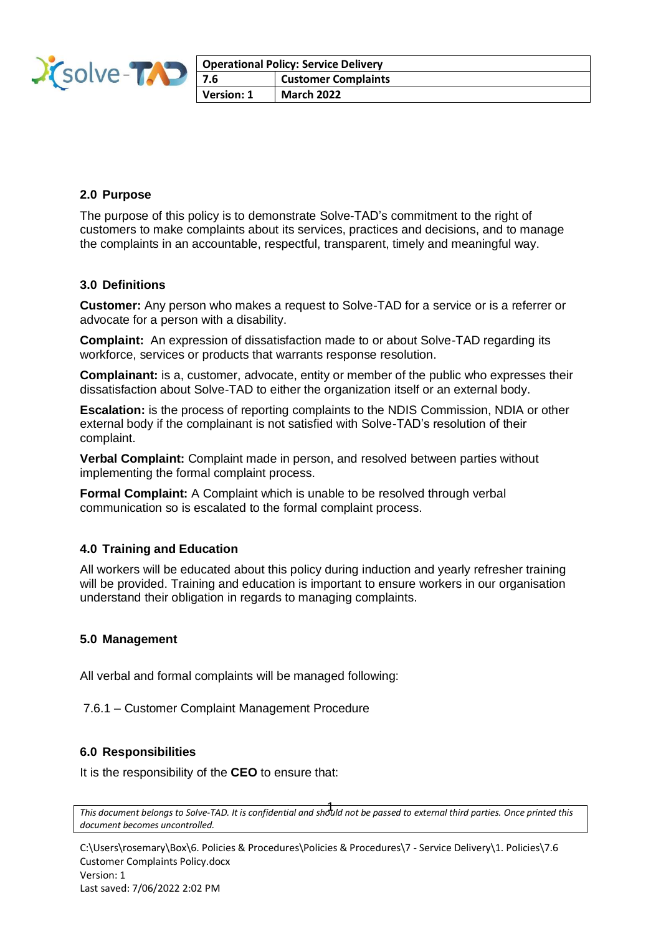

| Operational Policy: Service Delivery |                            |
|--------------------------------------|----------------------------|
| 7.6                                  | <b>Customer Complaints</b> |
| Version: 1                           | <b>March 2022</b>          |

## **2.0 Purpose**

The purpose of this policy is to demonstrate Solve-TAD's commitment to the right of customers to make complaints about its services, practices and decisions, and to manage the complaints in an accountable, respectful, transparent, timely and meaningful way.

## **3.0 Definitions**

**Customer:** Any person who makes a request to Solve-TAD for a service or is a referrer or advocate for a person with a disability.

**Complaint:** An expression of dissatisfaction made to or about Solve-TAD regarding its workforce, services or products that warrants response resolution.

**Complainant:** is a, customer, advocate, entity or member of the public who expresses their dissatisfaction about Solve-TAD to either the organization itself or an external body.

**Escalation:** is the process of reporting complaints to the NDIS Commission, NDIA or other external body if the complainant is not satisfied with Solve-TAD's resolution of their complaint.

**Verbal Complaint:** Complaint made in person, and resolved between parties without implementing the formal complaint process.

**Formal Complaint:** A Complaint which is unable to be resolved through verbal communication so is escalated to the formal complaint process.

# **4.0 Training and Education**

All workers will be educated about this policy during induction and yearly refresher training will be provided. Training and education is important to ensure workers in our organisation understand their obligation in regards to managing complaints.

#### **5.0 Management**

All verbal and formal complaints will be managed following:

7.6.1 – Customer Complaint Management Procedure

#### **6.0 Responsibilities**

It is the responsibility of the **CEO** to ensure that:

C:\Users\rosemary\Box\6. Policies & Procedures\Policies & Procedures\7 - Service Delivery\1. Policies\7.6 Customer Complaints Policy.docx Version: 1 Last saved: 7/06/2022 2:02 PM

*This document belongs to Solve-TAD. It is confidential and should not be passed to external third parties. Once printed this*  1 *document becomes uncontrolled.*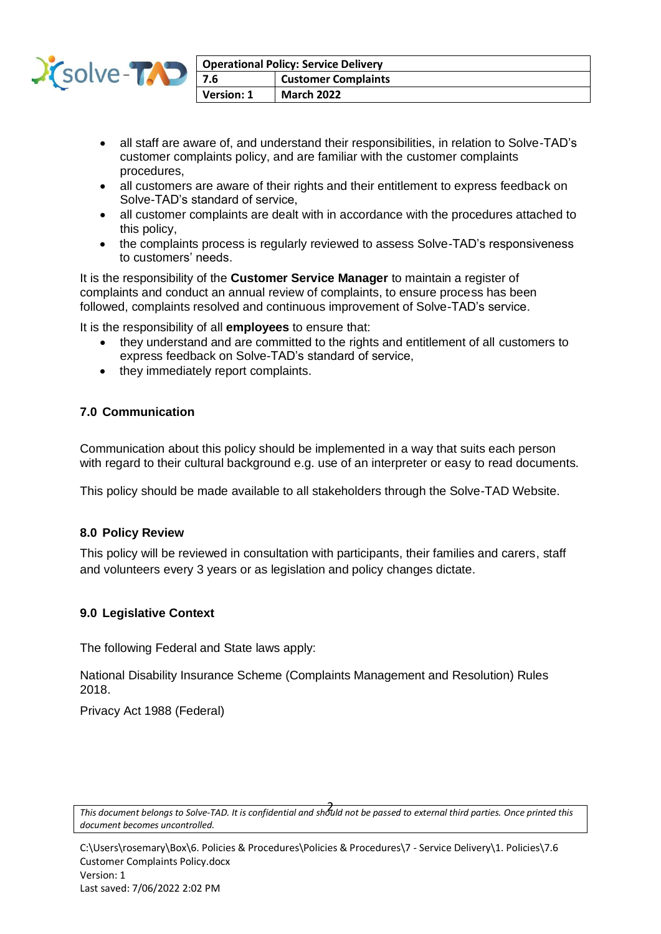

| Operational Policy: Service Delivery |                            |
|--------------------------------------|----------------------------|
| $\vert$ 7.6                          | <b>Customer Complaints</b> |
| Version: 1                           | <b>March 2022</b>          |

- all staff are aware of, and understand their responsibilities, in relation to Solve-TAD's customer complaints policy, and are familiar with the customer complaints procedures,
- all customers are aware of their rights and their entitlement to express feedback on Solve-TAD's standard of service,
- all customer complaints are dealt with in accordance with the procedures attached to this policy,
- the complaints process is regularly reviewed to assess Solve-TAD's responsiveness to customers' needs.

It is the responsibility of the **Customer Service Manager** to maintain a register of complaints and conduct an annual review of complaints, to ensure process has been followed, complaints resolved and continuous improvement of Solve-TAD's service.

It is the responsibility of all **employees** to ensure that:

- they understand and are committed to the rights and entitlement of all customers to express feedback on Solve-TAD's standard of service,
- they immediately report complaints.

# **7.0 Communication**

Communication about this policy should be implemented in a way that suits each person with regard to their cultural background e.g. use of an interpreter or easy to read documents.

This policy should be made available to all stakeholders through the Solve-TAD Website.

# **8.0 Policy Review**

This policy will be reviewed in consultation with participants, their families and carers, staff and volunteers every 3 years or as legislation and policy changes dictate.

# **9.0 Legislative Context**

The following Federal and State laws apply:

National Disability Insurance Scheme (Complaints Management and Resolution) Rules 2018.

Privacy Act 1988 (Federal)

*This document belongs to Solve-TAD. It is confidential and should not be passed to external third parties. Once printed this*  2 *document becomes uncontrolled.*

C:\Users\rosemary\Box\6. Policies & Procedures\Policies & Procedures\7 - Service Delivery\1. Policies\7.6 Customer Complaints Policy.docx Version: 1 Last saved: 7/06/2022 2:02 PM